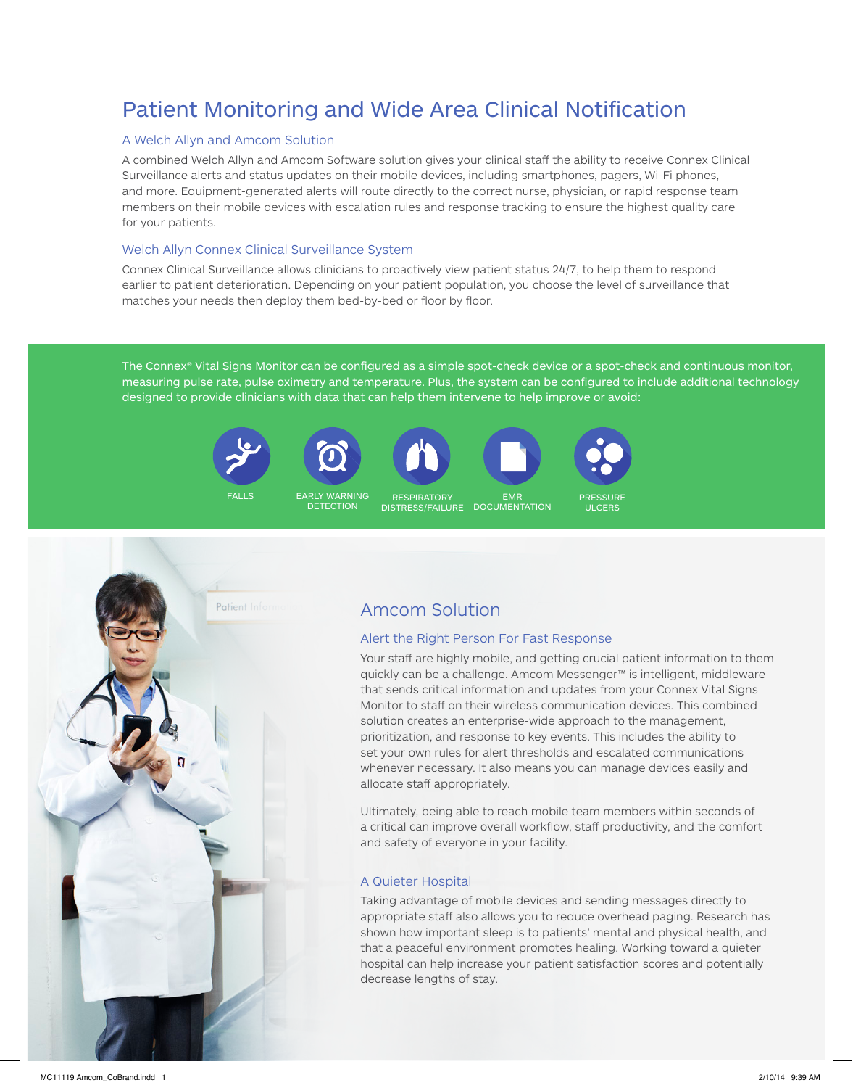# Patient Monitoring and Wide Area Clinical Notification

### A Welch Allyn and Amcom Solution

A combined Welch Allyn and Amcom Software solution gives your clinical staff the ability to receive Connex Clinical Surveillance alerts and status updates on their mobile devices, including smartphones, pagers, Wi-Fi phones, and more. Equipment-generated alerts will route directly to the correct nurse, physician, or rapid response team members on their mobile devices with escalation rules and response tracking to ensure the highest quality care for your patients.

### Welch Allyn Connex Clinical Surveillance System

Connex Clinical Surveillance allows clinicians to proactively view patient status 24/7, to help them to respond earlier to patient deterioration. Depending on your patient population, you choose the level of surveillance that matches your needs then deploy them bed-by-bed or floor by floor.

The Connex® Vital Signs Monitor can be configured as a simple spot-check device or a spot-check and continuous monitor, measuring pulse rate, pulse oximetry and temperature. Plus, the system can be configured to include additional technology designed to provide clinicians with data that can help them intervene to help improve or avoid:











FALLS EARLY WARNING FALLS EARLY WARNING FALLS EARLY WARNING FALLS EARLY WARNING FALLS EARLY WARNING DETECTION **EARLY WARNING** 

DISTRESS/FAILURE DOCUMENTAT **RESPIRATORY** EMR **DOCUMENTATION** 

ULCERS PRESSURE



# Amcom Solution

## Alert the Right Person For Fast Response

Your staff are highly mobile, and getting crucial patient information to them quickly can be a challenge. Amcom Messenger™ is intelligent, middleware that sends critical information and updates from your Connex Vital Signs Monitor to staff on their wireless communication devices. This combined solution creates an enterprise-wide approach to the management, prioritization, and response to key events. This includes the ability to set your own rules for alert thresholds and escalated communications whenever necessary. It also means you can manage devices easily and allocate staff appropriately.

Ultimately, being able to reach mobile team members within seconds of a critical can improve overall workflow, staff productivity, and the comfort and safety of everyone in your facility.

## A Quieter Hospital

Taking advantage of mobile devices and sending messages directly to appropriate staff also allows you to reduce overhead paging. Research has shown how important sleep is to patients' mental and physical health, and that a peaceful environment promotes healing. Working toward a quieter hospital can help increase your patient satisfaction scores and potentially decrease lengths of stay.